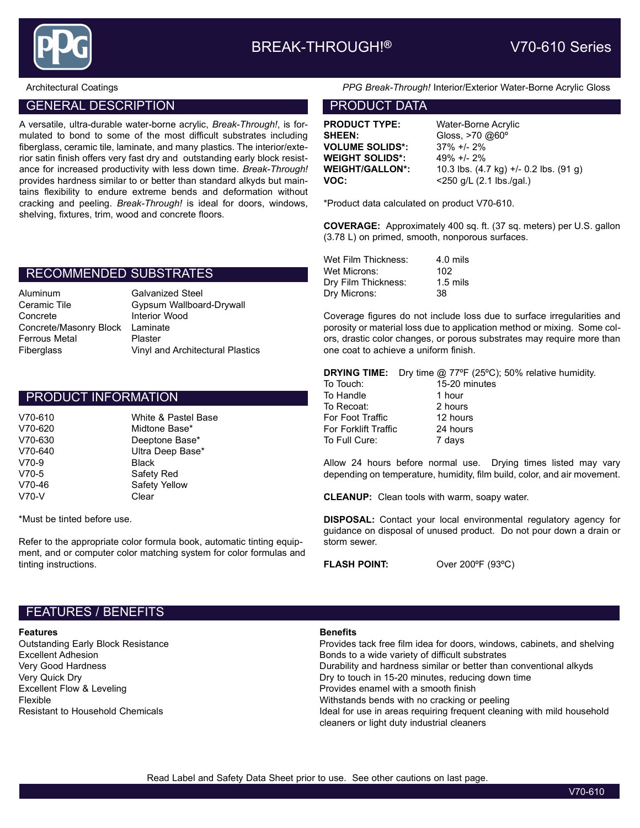

### GENERAL DESCRIPTION **EXAMPLE 20 INCREASE AND ACCOUNT DATA**

A versatile, ultra-durable water-borne acrylic, Break-Through!, is formulated to bond to some of the most difficult substrates including fiberglass, ceramic tile, laminate, and many plastics. The interior/exterior satin finish offers very fast dry and outstanding early block resistance for increased productivity with less down time. Break-Through! provides hardness similar to or better than standard alkyds but maintains flexibility to endure extreme bends and deformation without cracking and peeling. Break-Through! is ideal for doors, windows, shelving, fixtures, trim, wood and concrete floors.

## RECOMMENDED SUBSTRATES

| Aluminum                        | <b>Galvanized Steel</b>          |
|---------------------------------|----------------------------------|
| Ceramic Tile                    | Gypsum Wallboard-Drywall         |
| Concrete                        | <b>Interior Wood</b>             |
| Concrete/Masonry Block Laminate |                                  |
| Ferrous Metal                   | Plaster                          |
| Fiberglass                      | Vinyl and Architectural Plastics |
|                                 |                                  |

#### PRODUCT INFORMATION

| V70-610 | White & Pastel Base |
|---------|---------------------|
| V70-620 | Midtone Base*       |
| V70-630 | Deeptone Base*      |
| V70-640 | Ultra Deep Base*    |
| V70-9   | Black               |
| V70-5   | Safety Red          |
| V70-46  | Safety Yellow       |
| $V70-V$ | Clear               |

\*Must be tinted before use.

Refer to the appropriate color formula book, automatic tinting equipment, and or computer color matching system for color formulas and tinting instructions.

Architectural Coatings PPG Break-Through! Interior/Exterior Water-Borne Acrylic Gloss

PRODUCT TYPE: Water-Borne Acrylic SHEEN: Gloss, >70 @60<sup>°</sup> VOLUME SOLIDS\*: 37% +/- 2% WEIGHT SOLIDS\*: 49% +/- 2%

WEIGHT/GALLON\*: 10.3 lbs. (4.7 kg) +/- 0.2 lbs. (91 g) **VOC:**  $<$   $<$  250 g/L (2.1 lbs./gal.)

\*Product data calculated on product V70-610.

COVERAGE: Approximately 400 sq. ft. (37 sq. meters) per U.S. gallon (3.78 L) on primed, smooth, nonporous surfaces.

| Wet Film Thickness: | $4.0$ mils          |
|---------------------|---------------------|
| Wet Microns:        | 102                 |
| Dry Film Thickness: | $1.5 \text{ miles}$ |
| Dry Microns:        | 38                  |

Coverage figures do not include loss due to surface irregularities and porosity or material loss due to application method or mixing. Some colors, drastic color changes, or porous substrates may require more than one coat to achieve a uniform finish.

**DRYING TIME:** Dry time @ 77°F (25°C); 50% relative humidity.

| To Touch:            | 15-20 minutes |
|----------------------|---------------|
| To Handle            | 1 hour        |
| To Recoat:           | 2 hours       |
| For Foot Traffic     | 12 hours      |
| For Forklift Traffic | 24 hours      |
| To Full Cure:        | 7 days        |
|                      |               |

Allow 24 hours before normal use. Drying times listed may vary depending on temperature, humidity, film build, color, and air movement.

CLEANUP: Clean tools with warm, soapy water.

DISPOSAL: Contact your local environmental regulatory agency for guidance on disposal of unused product. Do not pour down a drain or storm sewer.

FLASH POINT: Over 200ºF (93ºC)

#### FEATURES / BENEFITS

#### **Features** Benefits

Outstanding Early Block Resistance Provides tack free film idea for doors, windows, cabinets, and shelving Excellent Adhesion **Bonds to a wide variety of difficult substrates** Bonds to a wide variety of difficult substrates Very Good Hardness **Durability and hardness similar or better than conventional alkyds** Durability and hardness similar or better than conventional alkyds Very Quick Dry Dry to touch in 15-20 minutes, reducing down time Excellent Flow & Leveling Provides enamel with a smooth finish Flexible Withstands bends with no cracking or peeling Resistant to Household Chemicals **Interpretient Chemical areas** ideal for use in areas requiring frequent cleaning with mild household cleaners or light duty industrial cleaners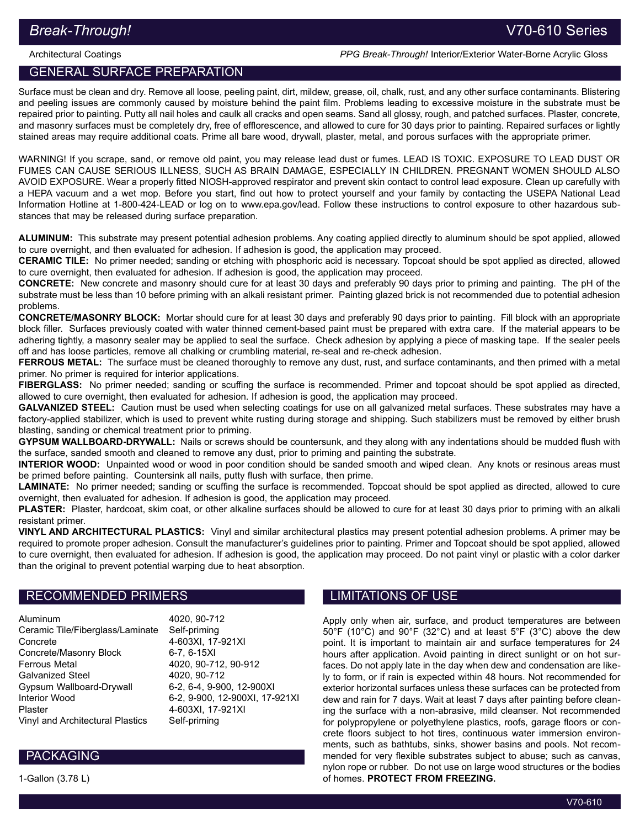## Architectural Coatings **PPG Break-Through! Interior/Exterior Water-Borne Acrylic Gloss**

# GENERAL SURFACE PREPARATION

Surface must be clean and dry. Remove all loose, peeling paint, dirt, mildew, grease, oil, chalk, rust, and any other surface contaminants. Blistering and peeling issues are commonly caused by moisture behind the paint film. Problems leading to excessive moisture in the substrate must be repaired prior to painting. Putty all nail holes and caulk all cracks and open seams. Sand all glossy, rough, and patched surfaces. Plaster, concrete, and masonry surfaces must be completely dry, free of efflorescence, and allowed to cure for 30 days prior to painting. Repaired surfaces or lightly stained areas may require additional coats. Prime all bare wood, drywall, plaster, metal, and porous surfaces with the appropriate primer.

WARNING! If you scrape, sand, or remove old paint, you may release lead dust or fumes. LEAD IS TOXIC. EXPOSURE TO LEAD DUST OR FUMES CAN CAUSE SERIOUS ILLNESS, SUCH AS BRAIN DAMAGE, ESPECIALLY IN CHILDREN. PREGNANT WOMEN SHOULD ALSO AVOID EXPOSURE. Wear a properly fitted NIOSH-approved respirator and prevent skin contact to control lead exposure. Clean up carefully with a HEPA vacuum and a wet mop. Before you start, find out how to protect yourself and your family by contacting the USEPA National Lead Information Hotline at 1‑800‑424‑LEAD or log on to www.epa.gov/lead. Follow these instructions to control exposure to other hazardous substances that may be released during surface preparation.

ALUMINUM: This substrate may present potential adhesion problems. Any coating applied directly to aluminum should be spot applied, allowed to cure overnight, and then evaluated for adhesion. If adhesion is good, the application may proceed.

CERAMIC TILE: No primer needed; sanding or etching with phosphoric acid is necessary. Topcoat should be spot applied as directed, allowed to cure overnight, then evaluated for adhesion. If adhesion is good, the application may proceed.

CONCRETE: New concrete and masonry should cure for at least 30 days and preferably 90 days prior to priming and painting. The pH of the substrate must be less than 10 before priming with an alkali resistant primer. Painting glazed brick is not recommended due to potential adhesion problems.

CONCRETE/MASONRY BLOCK: Mortar should cure for at least 30 days and preferably 90 days prior to painting. Fill block with an appropriate block filler. Surfaces previously coated with water thinned cement-based paint must be prepared with extra care. If the material appears to be adhering tightly, a masonry sealer may be applied to seal the surface. Check adhesion by applying a piece of masking tape. If the sealer peels off and has loose particles, remove all chalking or crumbling material, re-seal and re-check adhesion.

FERROUS METAL: The surface must be cleaned thoroughly to remove any dust, rust, and surface contaminants, and then primed with a metal primer. No primer is required for interior applications.

FIBERGLASS: No primer needed; sanding or scuffing the surface is recommended. Primer and topcoat should be spot applied as directed, allowed to cure overnight, then evaluated for adhesion. If adhesion is good, the application may proceed.

GALVANIZED STEEL: Caution must be used when selecting coatings for use on all galvanized metal surfaces. These substrates may have a factory-applied stabilizer, which is used to prevent white rusting during storage and shipping. Such stabilizers must be removed by either brush blasting, sanding or chemical treatment prior to priming.

GYPSUM WALLBOARD-DRYWALL: Nails or screws should be countersunk, and they along with any indentations should be mudded flush with the surface, sanded smooth and cleaned to remove any dust, prior to priming and painting the substrate.

INTERIOR WOOD: Unpainted wood or wood in poor condition should be sanded smooth and wiped clean. Any knots or resinous areas must be primed before painting. Countersink all nails, putty flush with surface, then prime.

LAMINATE: No primer needed; sanding or scuffing the surface is recommended. Topcoat should be spot applied as directed, allowed to cure overnight, then evaluated for adhesion. If adhesion is good, the application may proceed.

PLASTER: Plaster, hardcoat, skim coat, or other alkaline surfaces should be allowed to cure for at least 30 days prior to priming with an alkali resistant primer.

VINYL AND ARCHITECTURAL PLASTICS: Vinyl and similar architectural plastics may present potential adhesion problems. A primer may be required to promote proper adhesion. Consult the manufacturer's guidelines prior to painting. Primer and Topcoat should be spot applied, allowed to cure overnight, then evaluated for adhesion. If adhesion is good, the application may proceed. Do not paint vinyl or plastic with a color darker than the original to prevent potential warping due to heat absorption.

# RECOMMENDED PRIMERS

Aluminum 4020, 90-712 Ceramic Tile/Fiberglass/Laminate Self-priming Concrete 4-603XI, 17-921XI Concrete/Masonry Block 6-7, 6-15XI Ferrous Metal 4020, 90-712, 90-912 Galvanized Steel 4020, 90-712 Gypsum Wallboard-Drywall 6-2, 6-4, 9-900, 12-900XI Interior Wood 6-2, 9-900, 12-900XI, 17-921XI Plaster 4-603XI, 17-921XI Vinyl and Architectural Plastics Self-priming

# LIMITATIONS OF USE

Apply only when air, surface, and product temperatures are between 50°F (10°C) and 90°F (32°C) and at least 5°F (3°C) above the dew point. It is important to maintain air and surface temperatures for 24 hours after application. Avoid painting in direct sunlight or on hot surfaces. Do not apply late in the day when dew and condensation are likely to form, or if rain is expected within 48 hours. Not recommended for exterior horizontal surfaces unless these surfaces can be protected from dew and rain for 7 days. Wait at least 7 days after painting before cleaning the surface with a non-abrasive, mild cleanser. Not recommended for polypropylene or polyethylene plastics, roofs, garage floors or concrete floors subject to hot tires, continuous water immersion environments, such as bathtubs, sinks, shower basins and pools. Not recommended for very flexible substrates subject to abuse; such as canvas, nylon rope or rubber. Do not use on large wood structures or the bodies of homes. PROTECT FROM FREEZING.

# PACKAGING

1-Gallon (3.78 L)